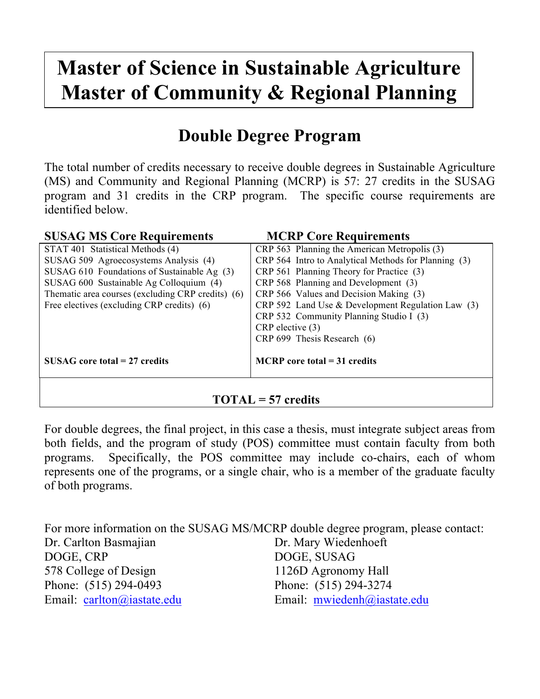## **Master of Science in Sustainable Agriculture Master of Community & Regional Planning**

## **Double Degree Program**

The total number of credits necessary to receive double degrees in Sustainable Agriculture (MS) and Community and Regional Planning (MCRP) is 57: 27 credits in the SUSAG program and 31 credits in the CRP program. The specific course requirements are identified below.

| <b>SUSAG MS Core Requirements</b>                                               | <b>MCRP Core Requirements</b>                        |  |
|---------------------------------------------------------------------------------|------------------------------------------------------|--|
| STAT 401 Statistical Methods (4)                                                | CRP 563 Planning the American Metropolis (3)         |  |
| SUSAG 509 Agroecosystems Analysis (4)                                           | CRP 564 Intro to Analytical Methods for Planning (3) |  |
| SUSAG 610 Foundations of Sustainable Ag (3)                                     | CRP 561 Planning Theory for Practice (3)             |  |
| CRP 568 Planning and Development (3)<br>SUSAG 600 Sustainable Ag Colloquium (4) |                                                      |  |
| Thematic area courses (excluding CRP credits) (6)                               | CRP 566 Values and Decision Making (3)               |  |
| Free electives (excluding CRP credits) (6)                                      | CRP 592 Land Use $&$ Development Regulation Law (3)  |  |
|                                                                                 | CRP 532 Community Planning Studio I (3)              |  |
|                                                                                 | $CRP$ elective $(3)$                                 |  |
|                                                                                 | CRP 699 Thesis Research (6)                          |  |
|                                                                                 |                                                      |  |
| $SUSAG$ core total = 27 credits                                                 | $MCRP$ core total = 31 credits                       |  |
|                                                                                 |                                                      |  |
|                                                                                 |                                                      |  |

## **TOTAL = 57 credits**

For double degrees, the final project, in this case a thesis, must integrate subject areas from both fields, and the program of study (POS) committee must contain faculty from both programs. Specifically, the POS committee may include co-chairs, each of whom represents one of the programs, or a single chair, who is a member of the graduate faculty of both programs.

For more information on the SUSAG MS/MCRP double degree program, please contact: Dr. Carlton Basmajian Dr. Mary Wiedenhoeft DOGE, CRP DOGE, SUSAG 578 College of Design 1126D Agronomy Hall Phone: (515) 294-0493 Phone: (515) 294-3274 Email: carlton@iastate.edu Email: mwiedenh@iastate.edu